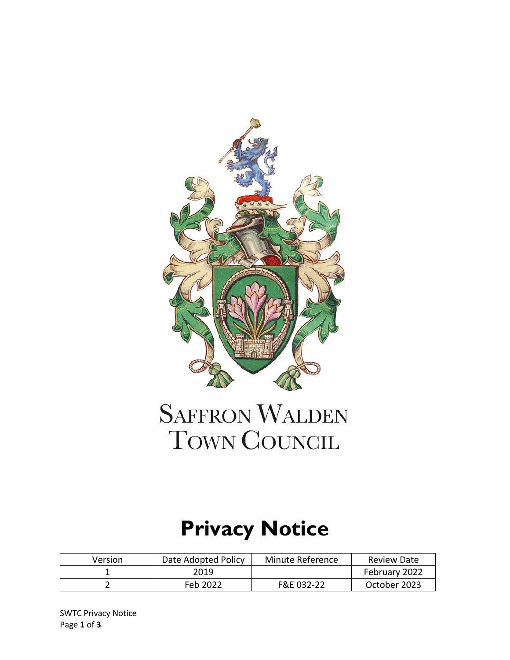

# **SAFFRON WALDEN** TOWN COUNCIL

# **Privacy Notice**

| Version | Date Adopted Policy | Minute Reference | Review Date   |
|---------|---------------------|------------------|---------------|
|         | 2019                |                  | February 2022 |
|         | Feb 2022            | F&E 032-22       | October 2023  |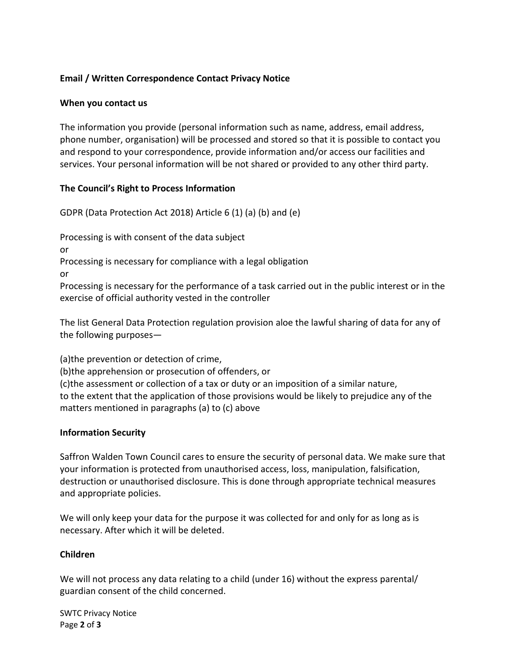# **Email / Written Correspondence Contact Privacy Notice**

# **When you contact us**

The information you provide (personal information such as name, address, email address, phone number, organisation) will be processed and stored so that it is possible to contact you and respond to your correspondence, provide information and/or access our facilities and services. Your personal information will be not shared or provided to any other third party.

# **The Council's Right to Process Information**

GDPR (Data Protection Act 2018) Article 6 (1) (a) (b) and (e)

Processing is with consent of the data subject

or

Processing is necessary for compliance with a legal obligation

or

Processing is necessary for the performance of a task carried out in the public interest or in the exercise of official authority vested in the controller

The list General Data Protection regulation provision aloe the lawful sharing of data for any of the following purposes—

(a)the prevention or detection of crime,

(b)the apprehension or prosecution of offenders, or

(c)the assessment or collection of a tax or duty or an imposition of a similar nature, to the extent that the application of those provisions would be likely to prejudice any of the matters mentioned in paragraphs (a) to (c) above

# **Information Security**

Saffron Walden Town Council cares to ensure the security of personal data. We make sure that your information is protected from unauthorised access, loss, manipulation, falsification, destruction or unauthorised disclosure. This is done through appropriate technical measures and appropriate policies.

We will only keep your data for the purpose it was collected for and only for as long as is necessary. After which it will be deleted.

#### **Children**

We will not process any data relating to a child (under 16) without the express parental/ guardian consent of the child concerned.

SWTC Privacy Notice Page **2** of **3**